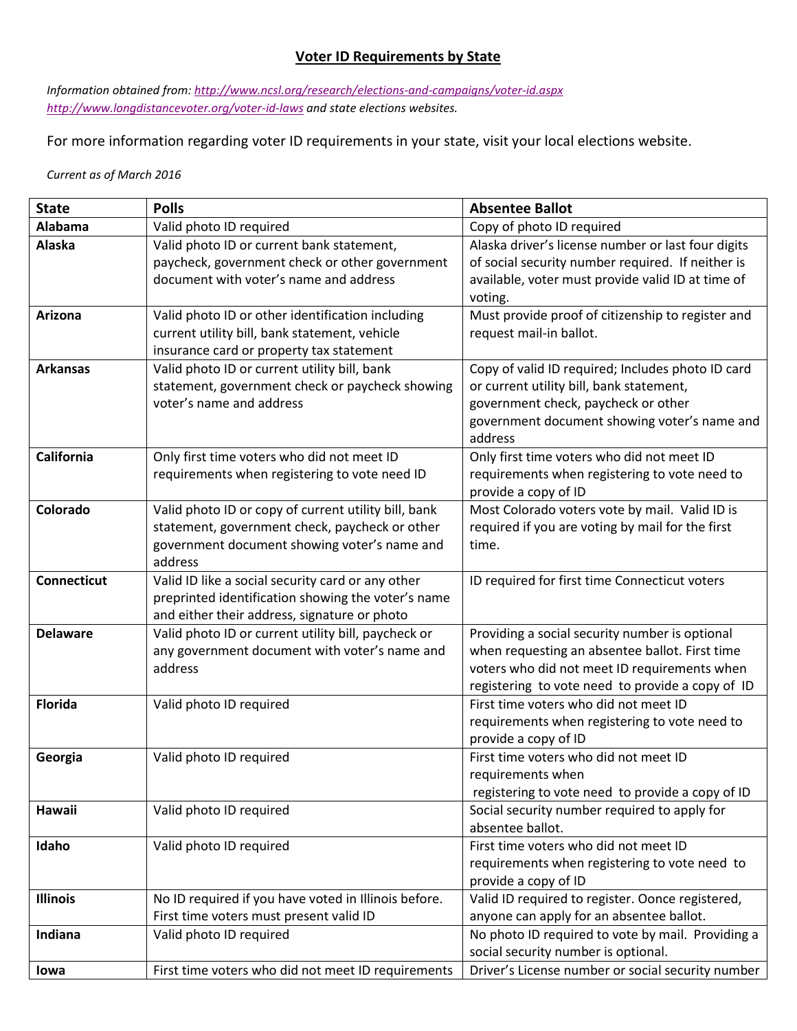## **Voter ID Requirements by State**

*Information obtained from[: http://www.ncsl.org/research/elections-and-campaigns/voter-id.aspx](http://www.ncsl.org/research/elections-and-campaigns/voter-id.aspx) <http://www.longdistancevoter.org/voter-id-laws> and state elections websites.* 

For more information regarding voter ID requirements in your state, visit your local elections website.

*Current as of March 2016*

| <b>State</b>       | <b>Polls</b>                                         | <b>Absentee Ballot</b>                                                                    |
|--------------------|------------------------------------------------------|-------------------------------------------------------------------------------------------|
| Alabama            | Valid photo ID required                              | Copy of photo ID required                                                                 |
| <b>Alaska</b>      | Valid photo ID or current bank statement,            | Alaska driver's license number or last four digits                                        |
|                    | paycheck, government check or other government       | of social security number required. If neither is                                         |
|                    | document with voter's name and address               | available, voter must provide valid ID at time of                                         |
|                    |                                                      | voting.                                                                                   |
| <b>Arizona</b>     | Valid photo ID or other identification including     | Must provide proof of citizenship to register and                                         |
|                    | current utility bill, bank statement, vehicle        | request mail-in ballot.                                                                   |
|                    | insurance card or property tax statement             |                                                                                           |
| <b>Arkansas</b>    | Valid photo ID or current utility bill, bank         | Copy of valid ID required; Includes photo ID card                                         |
|                    | statement, government check or paycheck showing      | or current utility bill, bank statement,                                                  |
|                    | voter's name and address                             | government check, paycheck or other                                                       |
|                    |                                                      | government document showing voter's name and                                              |
|                    |                                                      | address                                                                                   |
| California         | Only first time voters who did not meet ID           | Only first time voters who did not meet ID                                                |
|                    | requirements when registering to vote need ID        | requirements when registering to vote need to                                             |
|                    |                                                      | provide a copy of ID                                                                      |
| Colorado           | Valid photo ID or copy of current utility bill, bank | Most Colorado voters vote by mail. Valid ID is                                            |
|                    | statement, government check, paycheck or other       | required if you are voting by mail for the first                                          |
|                    | government document showing voter's name and         | time.                                                                                     |
|                    | address                                              |                                                                                           |
| <b>Connecticut</b> | Valid ID like a social security card or any other    | ID required for first time Connecticut voters                                             |
|                    | preprinted identification showing the voter's name   |                                                                                           |
|                    | and either their address, signature or photo         |                                                                                           |
| <b>Delaware</b>    | Valid photo ID or current utility bill, paycheck or  | Providing a social security number is optional                                            |
|                    | any government document with voter's name and        | when requesting an absentee ballot. First time                                            |
|                    | address                                              | voters who did not meet ID requirements when                                              |
| <b>Florida</b>     |                                                      | registering to vote need to provide a copy of ID<br>First time voters who did not meet ID |
|                    | Valid photo ID required                              |                                                                                           |
|                    |                                                      | requirements when registering to vote need to<br>provide a copy of ID                     |
| Georgia            | Valid photo ID required                              | First time voters who did not meet ID                                                     |
|                    |                                                      | requirements when                                                                         |
|                    |                                                      | registering to vote need to provide a copy of ID                                          |
| Hawaii             | Valid photo ID required                              | Social security number required to apply for                                              |
|                    |                                                      | absentee ballot.                                                                          |
| Idaho              | Valid photo ID required                              | First time voters who did not meet ID                                                     |
|                    |                                                      | requirements when registering to vote need to                                             |
|                    |                                                      | provide a copy of ID                                                                      |
| Illinois           | No ID required if you have voted in Illinois before. | Valid ID required to register. Oonce registered,                                          |
|                    | First time voters must present valid ID              | anyone can apply for an absentee ballot.                                                  |
| Indiana            | Valid photo ID required                              | No photo ID required to vote by mail. Providing a                                         |
|                    |                                                      | social security number is optional.                                                       |
| lowa               | First time voters who did not meet ID requirements   | Driver's License number or social security number                                         |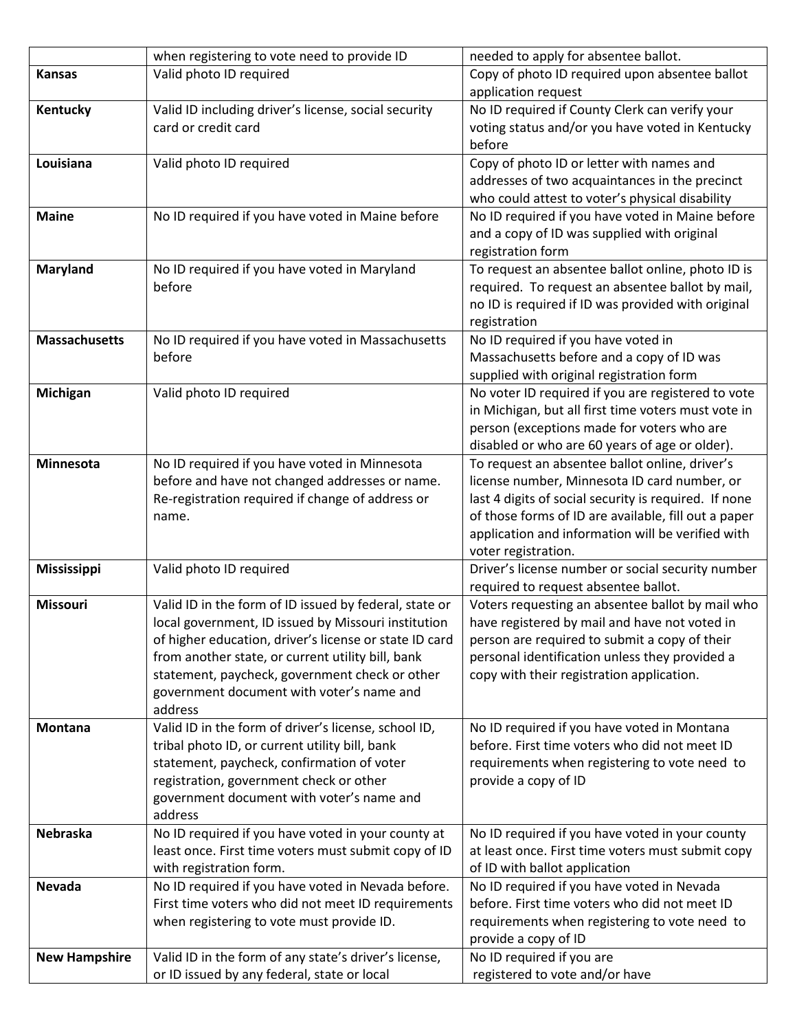|                      | when registering to vote need to provide ID            | needed to apply for absentee ballot.                  |
|----------------------|--------------------------------------------------------|-------------------------------------------------------|
| <b>Kansas</b>        | Valid photo ID required                                | Copy of photo ID required upon absentee ballot        |
|                      |                                                        | application request                                   |
| Kentucky             | Valid ID including driver's license, social security   | No ID required if County Clerk can verify your        |
|                      | card or credit card                                    | voting status and/or you have voted in Kentucky       |
|                      |                                                        | before                                                |
| Louisiana            | Valid photo ID required                                | Copy of photo ID or letter with names and             |
|                      |                                                        | addresses of two acquaintances in the precinct        |
|                      |                                                        | who could attest to voter's physical disability       |
| <b>Maine</b>         | No ID required if you have voted in Maine before       | No ID required if you have voted in Maine before      |
|                      |                                                        | and a copy of ID was supplied with original           |
|                      |                                                        | registration form                                     |
| <b>Maryland</b>      | No ID required if you have voted in Maryland           | To request an absentee ballot online, photo ID is     |
|                      | before                                                 | required. To request an absentee ballot by mail,      |
|                      |                                                        | no ID is required if ID was provided with original    |
|                      |                                                        | registration                                          |
| <b>Massachusetts</b> | No ID required if you have voted in Massachusetts      | No ID required if you have voted in                   |
|                      | before                                                 | Massachusetts before and a copy of ID was             |
|                      |                                                        | supplied with original registration form              |
| Michigan             | Valid photo ID required                                | No voter ID required if you are registered to vote    |
|                      |                                                        | in Michigan, but all first time voters must vote in   |
|                      |                                                        | person (exceptions made for voters who are            |
|                      |                                                        | disabled or who are 60 years of age or older).        |
| Minnesota            | No ID required if you have voted in Minnesota          | To request an absentee ballot online, driver's        |
|                      | before and have not changed addresses or name.         | license number, Minnesota ID card number, or          |
|                      | Re-registration required if change of address or       | last 4 digits of social security is required. If none |
|                      | name.                                                  | of those forms of ID are available, fill out a paper  |
|                      |                                                        | application and information will be verified with     |
|                      |                                                        | voter registration.                                   |
| <b>Mississippi</b>   | Valid photo ID required                                | Driver's license number or social security number     |
|                      |                                                        | required to request absentee ballot.                  |
| <b>Missouri</b>      | Valid ID in the form of ID issued by federal, state or | Voters requesting an absentee ballot by mail who      |
|                      | local government, ID issued by Missouri institution    | have registered by mail and have not voted in         |
|                      | of higher education, driver's license or state ID card | person are required to submit a copy of their         |
|                      | from another state, or current utility bill, bank      | personal identification unless they provided a        |
|                      | statement, paycheck, government check or other         | copy with their registration application.             |
|                      | government document with voter's name and              |                                                       |
|                      | address                                                |                                                       |
| <b>Montana</b>       | Valid ID in the form of driver's license, school ID,   | No ID required if you have voted in Montana           |
|                      | tribal photo ID, or current utility bill, bank         | before. First time voters who did not meet ID         |
|                      | statement, paycheck, confirmation of voter             | requirements when registering to vote need to         |
|                      | registration, government check or other                | provide a copy of ID                                  |
|                      | government document with voter's name and<br>address   |                                                       |
| Nebraska             | No ID required if you have voted in your county at     | No ID required if you have voted in your county       |
|                      | least once. First time voters must submit copy of ID   | at least once. First time voters must submit copy     |
|                      | with registration form.                                | of ID with ballot application                         |
| <b>Nevada</b>        | No ID required if you have voted in Nevada before.     | No ID required if you have voted in Nevada            |
|                      | First time voters who did not meet ID requirements     | before. First time voters who did not meet ID         |
|                      | when registering to vote must provide ID.              | requirements when registering to vote need to         |
|                      |                                                        | provide a copy of ID                                  |
| <b>New Hampshire</b> | Valid ID in the form of any state's driver's license,  | No ID required if you are                             |
|                      | or ID issued by any federal, state or local            | registered to vote and/or have                        |
|                      |                                                        |                                                       |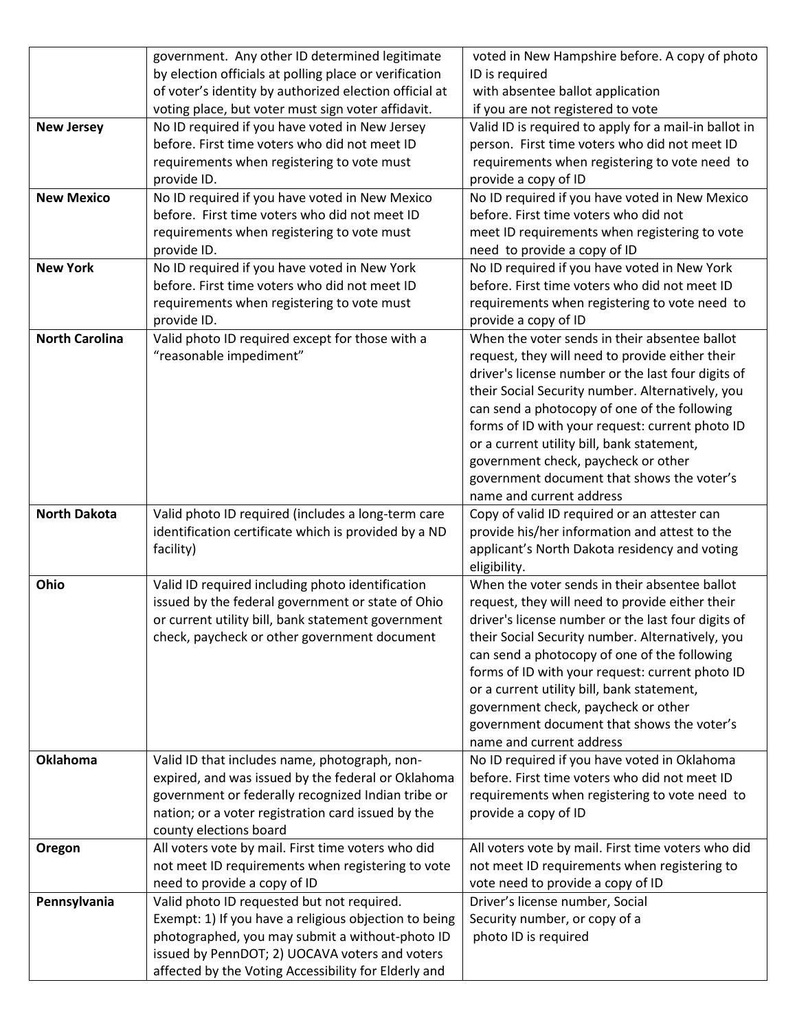|                       | government. Any other ID determined legitimate         | voted in New Hampshire before. A copy of photo                                                |
|-----------------------|--------------------------------------------------------|-----------------------------------------------------------------------------------------------|
|                       | by election officials at polling place or verification | ID is required                                                                                |
|                       | of voter's identity by authorized election official at | with absentee ballot application                                                              |
|                       | voting place, but voter must sign voter affidavit.     | if you are not registered to vote                                                             |
| <b>New Jersey</b>     | No ID required if you have voted in New Jersey         | Valid ID is required to apply for a mail-in ballot in                                         |
|                       | before. First time voters who did not meet ID          | person. First time voters who did not meet ID                                                 |
|                       | requirements when registering to vote must             | requirements when registering to vote need to                                                 |
|                       | provide ID.                                            | provide a copy of ID                                                                          |
| <b>New Mexico</b>     | No ID required if you have voted in New Mexico         | No ID required if you have voted in New Mexico                                                |
|                       | before. First time voters who did not meet ID          | before. First time voters who did not                                                         |
|                       | requirements when registering to vote must             | meet ID requirements when registering to vote                                                 |
|                       | provide ID.                                            | need to provide a copy of ID                                                                  |
| <b>New York</b>       | No ID required if you have voted in New York           | No ID required if you have voted in New York                                                  |
|                       | before. First time voters who did not meet ID          | before. First time voters who did not meet ID                                                 |
|                       | requirements when registering to vote must             | requirements when registering to vote need to                                                 |
|                       | provide ID.                                            | provide a copy of ID                                                                          |
| <b>North Carolina</b> | Valid photo ID required except for those with a        | When the voter sends in their absentee ballot                                                 |
|                       | "reasonable impediment"                                | request, they will need to provide either their                                               |
|                       |                                                        | driver's license number or the last four digits of                                            |
|                       |                                                        | their Social Security number. Alternatively, you                                              |
|                       |                                                        | can send a photocopy of one of the following                                                  |
|                       |                                                        | forms of ID with your request: current photo ID                                               |
|                       |                                                        | or a current utility bill, bank statement,                                                    |
|                       |                                                        |                                                                                               |
|                       |                                                        | government check, paycheck or other                                                           |
|                       |                                                        | government document that shows the voter's<br>name and current address                        |
| <b>North Dakota</b>   | Valid photo ID required (includes a long-term care     |                                                                                               |
|                       | identification certificate which is provided by a ND   | Copy of valid ID required or an attester can<br>provide his/her information and attest to the |
|                       | facility)                                              |                                                                                               |
|                       |                                                        | applicant's North Dakota residency and voting<br>eligibility.                                 |
| Ohio                  | Valid ID required including photo identification       | When the voter sends in their absentee ballot                                                 |
|                       | issued by the federal government or state of Ohio      | request, they will need to provide either their                                               |
|                       | or current utility bill, bank statement government     | driver's license number or the last four digits of                                            |
|                       | check, paycheck or other government document           | their Social Security number. Alternatively, you                                              |
|                       |                                                        | can send a photocopy of one of the following                                                  |
|                       |                                                        | forms of ID with your request: current photo ID                                               |
|                       |                                                        | or a current utility bill, bank statement,                                                    |
|                       |                                                        | government check, paycheck or other                                                           |
|                       |                                                        |                                                                                               |
|                       |                                                        | government document that shows the voter's<br>name and current address                        |
| Oklahoma              | Valid ID that includes name, photograph, non-          | No ID required if you have voted in Oklahoma                                                  |
|                       | expired, and was issued by the federal or Oklahoma     | before. First time voters who did not meet ID                                                 |
|                       | government or federally recognized Indian tribe or     | requirements when registering to vote need to                                                 |
|                       | nation; or a voter registration card issued by the     | provide a copy of ID                                                                          |
|                       | county elections board                                 |                                                                                               |
| Oregon                | All voters vote by mail. First time voters who did     | All voters vote by mail. First time voters who did                                            |
|                       | not meet ID requirements when registering to vote      | not meet ID requirements when registering to                                                  |
|                       | need to provide a copy of ID                           | vote need to provide a copy of ID                                                             |
| Pennsylvania          | Valid photo ID requested but not required.             | Driver's license number, Social                                                               |
|                       | Exempt: 1) If you have a religious objection to being  | Security number, or copy of a                                                                 |
|                       | photographed, you may submit a without-photo ID        | photo ID is required                                                                          |
|                       | issued by PennDOT; 2) UOCAVA voters and voters         |                                                                                               |
|                       | affected by the Voting Accessibility for Elderly and   |                                                                                               |
|                       |                                                        |                                                                                               |